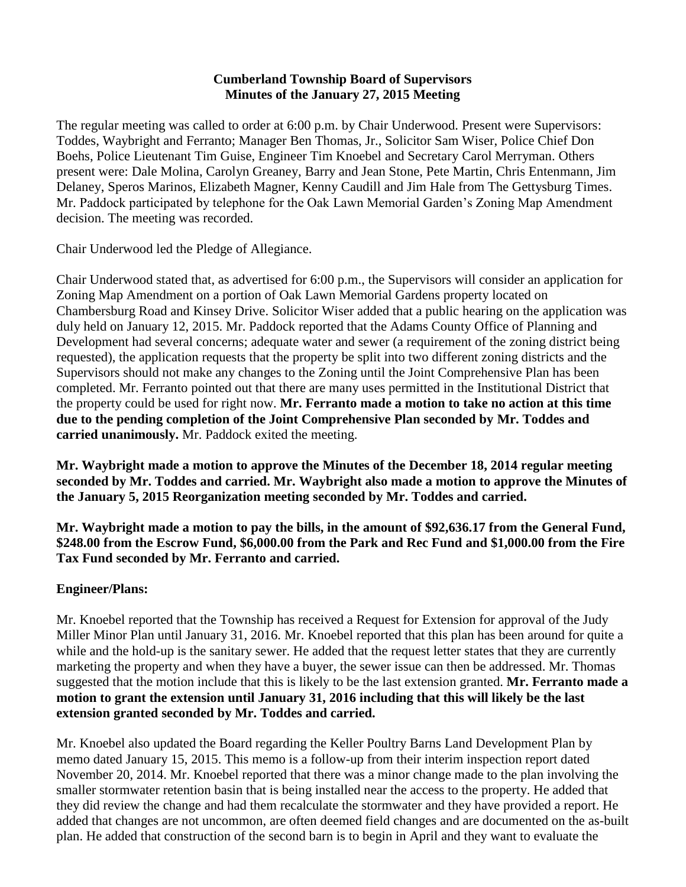#### **Cumberland Township Board of Supervisors Minutes of the January 27, 2015 Meeting**

The regular meeting was called to order at 6:00 p.m. by Chair Underwood. Present were Supervisors: Toddes, Waybright and Ferranto; Manager Ben Thomas, Jr., Solicitor Sam Wiser, Police Chief Don Boehs, Police Lieutenant Tim Guise, Engineer Tim Knoebel and Secretary Carol Merryman. Others present were: Dale Molina, Carolyn Greaney, Barry and Jean Stone, Pete Martin, Chris Entenmann, Jim Delaney, Speros Marinos, Elizabeth Magner, Kenny Caudill and Jim Hale from The Gettysburg Times. Mr. Paddock participated by telephone for the Oak Lawn Memorial Garden's Zoning Map Amendment decision. The meeting was recorded.

Chair Underwood led the Pledge of Allegiance.

Chair Underwood stated that, as advertised for 6:00 p.m., the Supervisors will consider an application for Zoning Map Amendment on a portion of Oak Lawn Memorial Gardens property located on Chambersburg Road and Kinsey Drive. Solicitor Wiser added that a public hearing on the application was duly held on January 12, 2015. Mr. Paddock reported that the Adams County Office of Planning and Development had several concerns; adequate water and sewer (a requirement of the zoning district being requested), the application requests that the property be split into two different zoning districts and the Supervisors should not make any changes to the Zoning until the Joint Comprehensive Plan has been completed. Mr. Ferranto pointed out that there are many uses permitted in the Institutional District that the property could be used for right now. **Mr. Ferranto made a motion to take no action at this time due to the pending completion of the Joint Comprehensive Plan seconded by Mr. Toddes and carried unanimously.** Mr. Paddock exited the meeting.

**Mr. Waybright made a motion to approve the Minutes of the December 18, 2014 regular meeting seconded by Mr. Toddes and carried. Mr. Waybright also made a motion to approve the Minutes of the January 5, 2015 Reorganization meeting seconded by Mr. Toddes and carried.** 

**Mr. Waybright made a motion to pay the bills, in the amount of \$92,636.17 from the General Fund, \$248.00 from the Escrow Fund, \$6,000.00 from the Park and Rec Fund and \$1,000.00 from the Fire Tax Fund seconded by Mr. Ferranto and carried.**

### **Engineer/Plans:**

Mr. Knoebel reported that the Township has received a Request for Extension for approval of the Judy Miller Minor Plan until January 31, 2016. Mr. Knoebel reported that this plan has been around for quite a while and the hold-up is the sanitary sewer. He added that the request letter states that they are currently marketing the property and when they have a buyer, the sewer issue can then be addressed. Mr. Thomas suggested that the motion include that this is likely to be the last extension granted. **Mr. Ferranto made a motion to grant the extension until January 31, 2016 including that this will likely be the last extension granted seconded by Mr. Toddes and carried.**

Mr. Knoebel also updated the Board regarding the Keller Poultry Barns Land Development Plan by memo dated January 15, 2015. This memo is a follow-up from their interim inspection report dated November 20, 2014. Mr. Knoebel reported that there was a minor change made to the plan involving the smaller stormwater retention basin that is being installed near the access to the property. He added that they did review the change and had them recalculate the stormwater and they have provided a report. He added that changes are not uncommon, are often deemed field changes and are documented on the as-built plan. He added that construction of the second barn is to begin in April and they want to evaluate the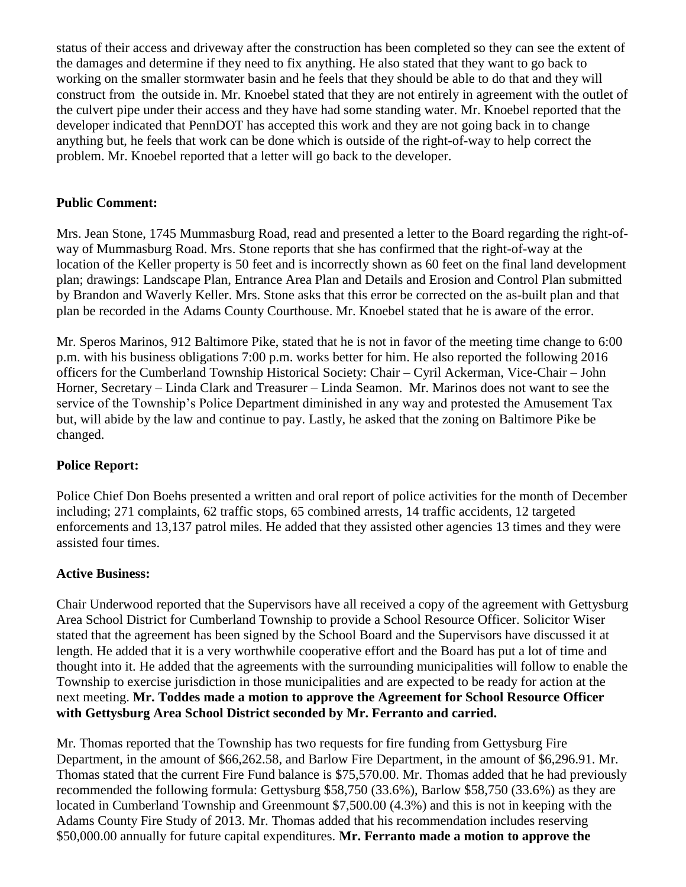status of their access and driveway after the construction has been completed so they can see the extent of the damages and determine if they need to fix anything. He also stated that they want to go back to working on the smaller stormwater basin and he feels that they should be able to do that and they will construct from the outside in. Mr. Knoebel stated that they are not entirely in agreement with the outlet of the culvert pipe under their access and they have had some standing water. Mr. Knoebel reported that the developer indicated that PennDOT has accepted this work and they are not going back in to change anything but, he feels that work can be done which is outside of the right-of-way to help correct the problem. Mr. Knoebel reported that a letter will go back to the developer.

## **Public Comment:**

Mrs. Jean Stone, 1745 Mummasburg Road, read and presented a letter to the Board regarding the right-ofway of Mummasburg Road. Mrs. Stone reports that she has confirmed that the right-of-way at the location of the Keller property is 50 feet and is incorrectly shown as 60 feet on the final land development plan; drawings: Landscape Plan, Entrance Area Plan and Details and Erosion and Control Plan submitted by Brandon and Waverly Keller. Mrs. Stone asks that this error be corrected on the as-built plan and that plan be recorded in the Adams County Courthouse. Mr. Knoebel stated that he is aware of the error.

Mr. Speros Marinos, 912 Baltimore Pike, stated that he is not in favor of the meeting time change to 6:00 p.m. with his business obligations 7:00 p.m. works better for him. He also reported the following 2016 officers for the Cumberland Township Historical Society: Chair – Cyril Ackerman, Vice-Chair – John Horner, Secretary – Linda Clark and Treasurer – Linda Seamon. Mr. Marinos does not want to see the service of the Township's Police Department diminished in any way and protested the Amusement Tax but, will abide by the law and continue to pay. Lastly, he asked that the zoning on Baltimore Pike be changed.

### **Police Report:**

Police Chief Don Boehs presented a written and oral report of police activities for the month of December including; 271 complaints, 62 traffic stops, 65 combined arrests, 14 traffic accidents, 12 targeted enforcements and 13,137 patrol miles. He added that they assisted other agencies 13 times and they were assisted four times.

### **Active Business:**

Chair Underwood reported that the Supervisors have all received a copy of the agreement with Gettysburg Area School District for Cumberland Township to provide a School Resource Officer. Solicitor Wiser stated that the agreement has been signed by the School Board and the Supervisors have discussed it at length. He added that it is a very worthwhile cooperative effort and the Board has put a lot of time and thought into it. He added that the agreements with the surrounding municipalities will follow to enable the Township to exercise jurisdiction in those municipalities and are expected to be ready for action at the next meeting. **Mr. Toddes made a motion to approve the Agreement for School Resource Officer with Gettysburg Area School District seconded by Mr. Ferranto and carried.** 

Mr. Thomas reported that the Township has two requests for fire funding from Gettysburg Fire Department, in the amount of \$66,262.58, and Barlow Fire Department, in the amount of \$6,296.91. Mr. Thomas stated that the current Fire Fund balance is \$75,570.00. Mr. Thomas added that he had previously recommended the following formula: Gettysburg \$58,750 (33.6%), Barlow \$58,750 (33.6%) as they are located in Cumberland Township and Greenmount \$7,500.00 (4.3%) and this is not in keeping with the Adams County Fire Study of 2013. Mr. Thomas added that his recommendation includes reserving \$50,000.00 annually for future capital expenditures. **Mr. Ferranto made a motion to approve the**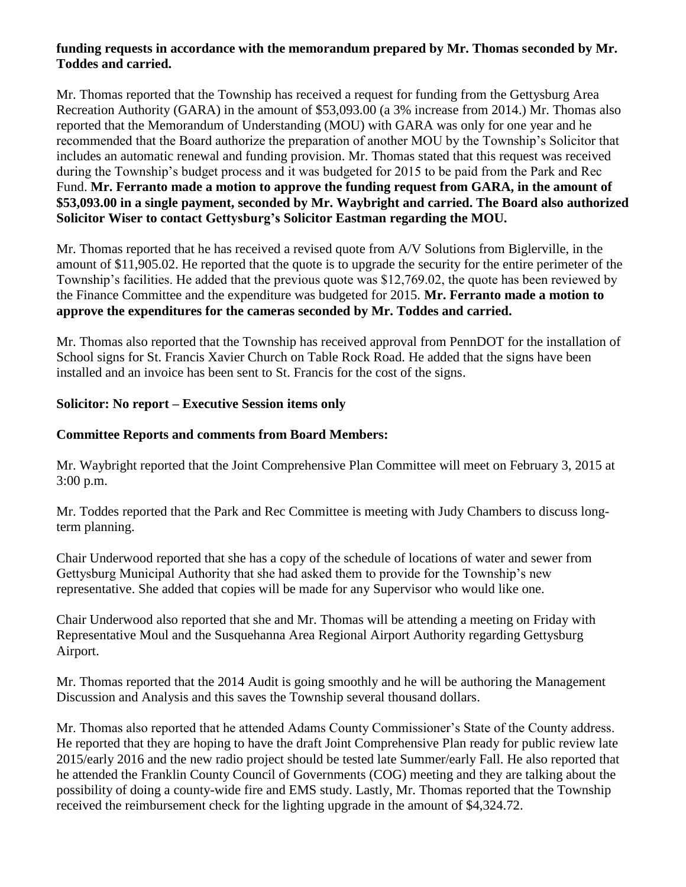### **funding requests in accordance with the memorandum prepared by Mr. Thomas seconded by Mr. Toddes and carried.**

Mr. Thomas reported that the Township has received a request for funding from the Gettysburg Area Recreation Authority (GARA) in the amount of \$53,093.00 (a 3% increase from 2014.) Mr. Thomas also reported that the Memorandum of Understanding (MOU) with GARA was only for one year and he recommended that the Board authorize the preparation of another MOU by the Township's Solicitor that includes an automatic renewal and funding provision. Mr. Thomas stated that this request was received during the Township's budget process and it was budgeted for 2015 to be paid from the Park and Rec Fund. **Mr. Ferranto made a motion to approve the funding request from GARA, in the amount of \$53,093.00 in a single payment, seconded by Mr. Waybright and carried. The Board also authorized Solicitor Wiser to contact Gettysburg's Solicitor Eastman regarding the MOU.** 

Mr. Thomas reported that he has received a revised quote from A/V Solutions from Biglerville, in the amount of \$11,905.02. He reported that the quote is to upgrade the security for the entire perimeter of the Township's facilities. He added that the previous quote was \$12,769.02, the quote has been reviewed by the Finance Committee and the expenditure was budgeted for 2015. **Mr. Ferranto made a motion to approve the expenditures for the cameras seconded by Mr. Toddes and carried.**

Mr. Thomas also reported that the Township has received approval from PennDOT for the installation of School signs for St. Francis Xavier Church on Table Rock Road. He added that the signs have been installed and an invoice has been sent to St. Francis for the cost of the signs.

### **Solicitor: No report – Executive Session items only**

### **Committee Reports and comments from Board Members:**

Mr. Waybright reported that the Joint Comprehensive Plan Committee will meet on February 3, 2015 at 3:00 p.m.

Mr. Toddes reported that the Park and Rec Committee is meeting with Judy Chambers to discuss longterm planning.

Chair Underwood reported that she has a copy of the schedule of locations of water and sewer from Gettysburg Municipal Authority that she had asked them to provide for the Township's new representative. She added that copies will be made for any Supervisor who would like one.

Chair Underwood also reported that she and Mr. Thomas will be attending a meeting on Friday with Representative Moul and the Susquehanna Area Regional Airport Authority regarding Gettysburg Airport.

Mr. Thomas reported that the 2014 Audit is going smoothly and he will be authoring the Management Discussion and Analysis and this saves the Township several thousand dollars.

Mr. Thomas also reported that he attended Adams County Commissioner's State of the County address. He reported that they are hoping to have the draft Joint Comprehensive Plan ready for public review late 2015/early 2016 and the new radio project should be tested late Summer/early Fall. He also reported that he attended the Franklin County Council of Governments (COG) meeting and they are talking about the possibility of doing a county-wide fire and EMS study. Lastly, Mr. Thomas reported that the Township received the reimbursement check for the lighting upgrade in the amount of \$4,324.72.